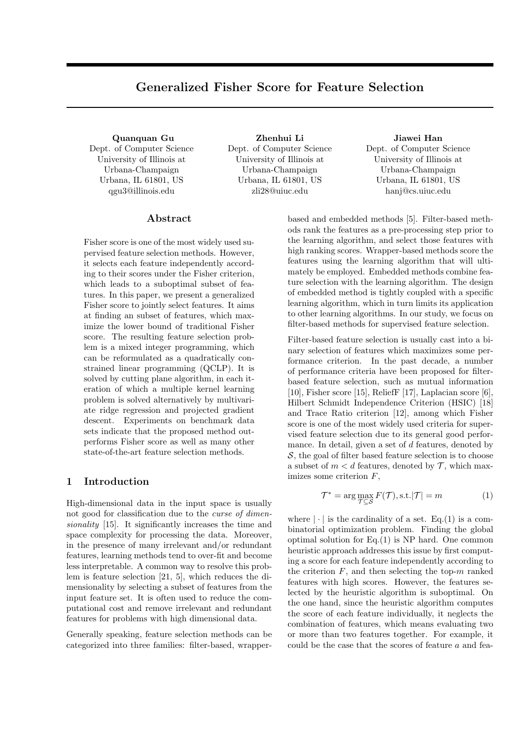# **Generalized Fisher Score for Feature Selection**

**Quanquan Gu** Dept. of Computer Science University of Illinois at Urbana-Champaign Urbana, IL 61801, US qgu3@illinois.edu

**Zhenhui Li** Dept. of Computer Science University of Illinois at Urbana-Champaign Urbana, IL 61801, US zli28@uiuc.edu

**Jiawei Han** Dept. of Computer Science University of Illinois at Urbana-Champaign Urbana, IL 61801, US hanj@cs.uiuc.edu

# **Abstract**

Fisher score is one of the most widely used supervised feature selection methods. However, it selects each feature independently according to their scores under the Fisher criterion, which leads to a suboptimal subset of features. In this paper, we present a generalized Fisher score to jointly select features. It aims at finding an subset of features, which maximize the lower bound of traditional Fisher score. The resulting feature selection problem is a mixed integer programming, which can be reformulated as a quadratically constrained linear programming (QCLP). It is solved by cutting plane algorithm, in each iteration of which a multiple kernel learning problem is solved alternatively by multivariate ridge regression and projected gradient descent. Experiments on benchmark data sets indicate that the proposed method outperforms Fisher score as well as many other state-of-the-art feature selection methods.

## **1 Introduction**

High-dimensional data in the input space is usually not good for classification due to the *curse of dimensionality* [15]. It significantly increases the time and space complexity for processing the data. Moreover, in the presence of many irrelevant and/or redundant features, learning methods tend to over-fit and become less interpretable. A common way to resolve this problem is feature selection [21, 5], which reduces the dimensionality by selecting a subset of features from the input feature set. It is often used to reduce the computational cost and remove irrelevant and redundant features for problems with high dimensional data.

Generally speaking, feature selection methods can be categorized into three families: filter-based, wrapper-

based and embedded methods [5]. Filter-based methods rank the features as a pre-processing step prior to the learning algorithm, and select those features with high ranking scores. Wrapper-based methods score the features using the learning algorithm that will ultimately be employed. Embedded methods combine feature selection with the learning algorithm. The design of embedded method is tightly coupled with a specific learning algorithm, which in turn limits its application to other learning algorithms. In our study, we focus on filter-based methods for supervised feature selection.

Filter-based feature selection is usually cast into a binary selection of features which maximizes some performance criterion. In the past decade, a number of performance criteria have been proposed for filterbased feature selection, such as mutual information [10], Fisher score [15], ReliefF [17], Laplacian score [6], Hilbert Schmidt Independence Criterion (HSIC) [18] and Trace Ratio criterion [12], among which Fisher score is one of the most widely used criteria for supervised feature selection due to its general good performance. In detail, given a set of *d* features, denoted by *S*, the goal of filter based feature selection is to choose a subset of  $m < d$  features, denoted by  $\mathcal{T}$ , which maximizes some criterion *F*,

$$
\mathcal{T}^* = \arg \max_{\mathcal{T} \subseteq \mathcal{S}} F(\mathcal{T}), \text{s.t.} |\mathcal{T}| = m \tag{1}
$$

where  $|\cdot|$  is the cardinality of a set. Eq.(1) is a combinatorial optimization problem. Finding the global optimal solution for Eq.(1) is NP hard. One common heuristic approach addresses this issue by first computing a score for each feature independently according to the criterion  $F$ , and then selecting the top- $m$  ranked features with high scores. However, the features selected by the heuristic algorithm is suboptimal. On the one hand, since the heuristic algorithm computes the score of each feature individually, it neglects the combination of features, which means evaluating two or more than two features together. For example, it could be the case that the scores of feature *a* and fea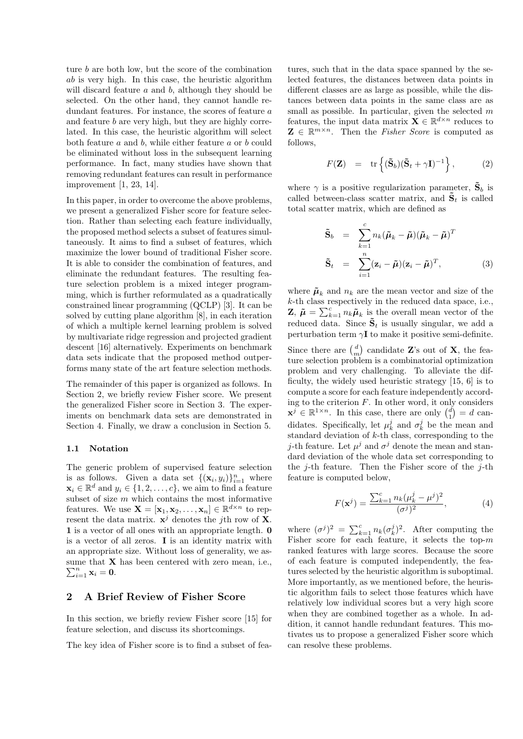ture *b* are both low, but the score of the combination *ab* is very high. In this case, the heuristic algorithm will discard feature *a* and *b*, although they should be selected. On the other hand, they cannot handle redundant features. For instance, the scores of feature *a* and feature *b* are very high, but they are highly correlated. In this case, the heuristic algorithm will select both feature *a* and *b*, while either feature *a* or *b* could be eliminated without loss in the subsequent learning performance. In fact, many studies have shown that removing redundant features can result in performance improvement [1, 23, 14].

In this paper, in order to overcome the above problems, we present a generalized Fisher score for feature selection. Rather than selecting each feature individually, the proposed method selects a subset of features simultaneously. It aims to find a subset of features, which maximize the lower bound of traditional Fisher score. It is able to consider the combination of features, and eliminate the redundant features. The resulting feature selection problem is a mixed integer programming, which is further reformulated as a quadratically constrained linear programming (QCLP) [3]. It can be solved by cutting plane algorithm [8], in each iteration of which a multiple kernel learning problem is solved by multivariate ridge regression and projected gradient descent [16] alternatively. Experiments on benchmark data sets indicate that the proposed method outperforms many state of the art feature selection methods.

The remainder of this paper is organized as follows. In Section 2, we briefly review Fisher score. We present the generalized Fisher score in Section 3. The experiments on benchmark data sets are demonstrated in Section 4. Finally, we draw a conclusion in Section 5.

#### **1.1 Notation**

The generic problem of supervised feature selection is as follows. Given a data set  $\{(\mathbf{x}_i, y_i)\}_{i=1}^n$  where  $\mathbf{x}_i \in \mathbb{R}^d$  and  $y_i \in \{1, 2, \ldots, c\}$ , we aim to find a feature subset of size *m* which contains the most informative features. We use  $\mathbf{X} = [\mathbf{x}_1, \mathbf{x}_2, \dots, \mathbf{x}_n] \in \mathbb{R}^{d \times n}$  to represent the data matrix.  $\mathbf{x}^j$  denotes the *j*th row of **X**. **1** is a vector of all ones with an appropriate length. **0** is a vector of all zeros. **I** is an identity matrix with an appropriate size. Without loss of generality, we assume that **X** has been centered with zero mean, i.e.,  $\sum_{i=1}^n \mathbf{x}_i = \mathbf{0}.$ 

# **2 A Brief Review of Fisher Score**

In this section, we briefly review Fisher score [15] for feature selection, and discuss its shortcomings.

The key idea of Fisher score is to find a subset of fea-

tures, such that in the data space spanned by the selected features, the distances between data points in different classes are as large as possible, while the distances between data points in the same class are as small as possible. In particular, given the selected *m* features, the input data matrix  $\mathbf{X} \in \mathbb{R}^{d \times n}$  reduces to  $\mathbf{Z} \in \mathbb{R}^{m \times n}$ . Then the *Fisher Score* is computed as follows,

$$
F(\mathbf{Z}) = \text{tr}\left\{ (\tilde{\mathbf{S}}_b)(\tilde{\mathbf{S}}_t + \gamma \mathbf{I})^{-1} \right\},\qquad(2)
$$

where  $\gamma$  is a positive regularization parameter,  $\tilde{\mathbf{S}}_b$  is called between-class scatter matrix, and  $\tilde{\mathbf{S}}_t$  is called total scatter matrix, which are defined as

$$
\tilde{\mathbf{S}}_b = \sum_{k=1}^c n_k (\tilde{\boldsymbol{\mu}}_k - \tilde{\boldsymbol{\mu}}) (\tilde{\boldsymbol{\mu}}_k - \tilde{\boldsymbol{\mu}})^T
$$

$$
\tilde{\mathbf{S}}_t = \sum_{i=1}^n (\mathbf{z}_i - \tilde{\boldsymbol{\mu}}) (\mathbf{z}_i - \tilde{\boldsymbol{\mu}})^T, \qquad (3)
$$

where  $\tilde{\mu}_k$  and  $n_k$  are the mean vector and size of the *k*-th class respectively in the reduced data space, i.e., **Z**,  $\tilde{\mu} = \sum_{k=1}^{c} n_k \tilde{\mu}_k$  is the overall mean vector of the reduced data. Since  $\tilde{\mathbf{S}}_t$  is usually singular, we add a perturbation term  $\gamma$ **I** to make it positive semi-definite.

Since there are  $\binom{d}{m}$  candidate **Z**'s out of **X**, the feature selection problem is a combinatorial optimization problem and very challenging. To alleviate the difficulty, the widely used heuristic strategy [15, 6] is to compute a score for each feature independently according to the criterion *F*. In other word, it only considers  $\mathbf{x}^j \in \mathbb{R}^{1 \times n}$ . In this case, there are only  $\binom{d}{1} = d$  candidates. Specifically, let  $\mu_k^j$  and  $\sigma_k^j$  be the mean and standard deviation of *k*-th class, corresponding to the *j*-th feature. Let  $\mu^j$  and  $\sigma^j$  denote the mean and standard deviation of the whole data set corresponding to the *j*-th feature. Then the Fisher score of the *j*-th feature is computed below,

$$
F(\mathbf{x}^{j}) = \frac{\sum_{k=1}^{c} n_{k} (\mu_{k}^{j} - \mu^{j})^{2}}{(\sigma^{j})^{2}},
$$
\n(4)

where  $(\sigma^j)^2 = \sum_{k=1}^c n_k (\sigma^j_k)^2$ . After computing the Fisher score for each feature, it selects the top-*m* ranked features with large scores. Because the score of each feature is computed independently, the features selected by the heuristic algorithm is suboptimal. More importantly, as we mentioned before, the heuristic algorithm fails to select those features which have relatively low individual scores but a very high score when they are combined together as a whole. In addition, it cannot handle redundant features. This motivates us to propose a generalized Fisher score which can resolve these problems.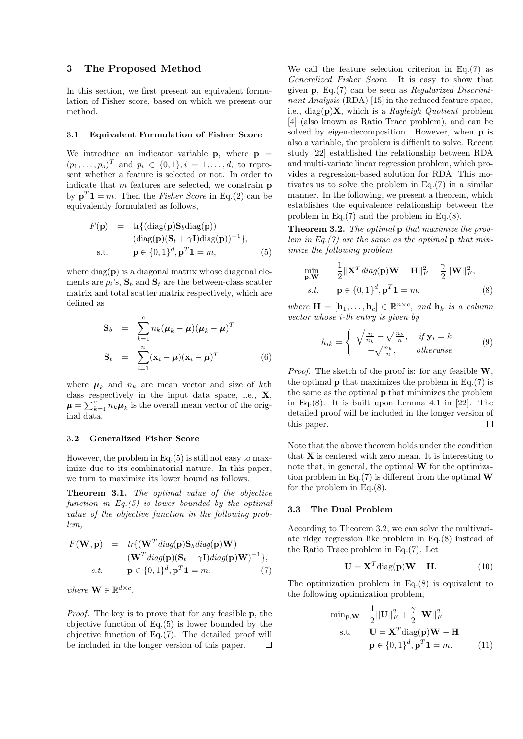# **3 The Proposed Method**

In this section, we first present an equivalent formulation of Fisher score, based on which we present our method.

#### **3.1 Equivalent Formulation of Fisher Score**

We introduce an indicator variable  $\bf{p}$ , where  $\bf{p}$  =  $(p_1, \ldots, p_d)^T$  and  $p_i \in \{0, 1\}, i = 1, \ldots, d$ , to represent whether a feature is selected or not. In order to indicate that *m* features are selected, we constrain **p** by  $\mathbf{p}^T \mathbf{1} = m$ . Then the *Fisher Score* in Eq.(2) can be equivalently formulated as follows,

$$
F(\mathbf{p}) = \text{tr}\{(\text{diag}(\mathbf{p})\mathbf{S}_b\text{diag}(\mathbf{p}))
$$
  
\n
$$
(\text{diag}(\mathbf{p})(\mathbf{S}_t + \gamma \mathbf{I})\text{diag}(\mathbf{p}))^{-1}\},
$$
  
\ns.t. 
$$
\mathbf{p} \in \{0, 1\}^d, \mathbf{p}^T \mathbf{1} = m,
$$
 (5)

where diag(**p**) is a diagonal matrix whose diagonal elements are  $p_i$ 's,  $S_b$  and  $S_t$  are the between-class scatter matrix and total scatter matrix respectively, which are defined as

$$
\mathbf{S}_b = \sum_{k=1}^c n_k (\boldsymbol{\mu}_k - \boldsymbol{\mu}) (\boldsymbol{\mu}_k - \boldsymbol{\mu})^T
$$

$$
\mathbf{S}_t = \sum_{i=1}^n (\mathbf{x}_i - \boldsymbol{\mu}) (\mathbf{x}_i - \boldsymbol{\mu})^T
$$
(6)

where  $\mu_k$  and  $n_k$  are mean vector and size of kth class respectively in the input data space, i.e., **X**,  $\mu = \sum_{k=1}^{c} n_k \mu_k$  is the overall mean vector of the original data.

## **3.2 Generalized Fisher Score**

However, the problem in Eq.(5) is still not easy to maximize due to its combinatorial nature. In this paper, we turn to maximize its lower bound as follows.

**Theorem 3.1.** *The optimal value of the objective function in Eq.(5) is lower bounded by the optimal value of the objective function in the following problem,*

$$
F(\mathbf{W}, \mathbf{p}) = tr\{ (\mathbf{W}^T \operatorname{diag}(\mathbf{p}) \mathbf{S}_b \operatorname{diag}(\mathbf{p}) \mathbf{W})
$$
  
\n
$$
(\mathbf{W}^T \operatorname{diag}(\mathbf{p}) (\mathbf{S}_t + \gamma \mathbf{I}) \operatorname{diag}(\mathbf{p}) \mathbf{W})^{-1} \},
$$
  
\ns.t. 
$$
\mathbf{p} \in \{0, 1\}^d, \mathbf{p}^T \mathbf{1} = m.
$$
 (7)

*where*  $\mathbf{W} \in \mathbb{R}^{d \times c}$ *.* 

*Proof.* The key is to prove that for any feasible **p**, the objective function of Eq.(5) is lower bounded by the objective function of Eq.(7). The detailed proof will be included in the longer version of this paper. П We call the feature selection criterion in Eq.(7) as *Generalized Fisher Score*. It is easy to show that given **p**, Eq.(7) can be seen as *Regularized Discriminant Analysis* (RDA) [15] in the reduced feature space, i.e., diag(**p**)**X**, which is a *Rayleigh Quotient* problem [4] (also known as Ratio Trace problem), and can be solved by eigen-decomposition. However, when **p** is also a variable, the problem is difficult to solve. Recent study [22] established the relationship between RDA and multi-variate linear regression problem, which provides a regression-based solution for RDA. This motivates us to solve the problem in Eq.(7) in a similar manner. In the following, we present a theorem, which establishes the equivalence relationship between the problem in Eq.(7) and the problem in Eq.(8).

**Theorem 3.2.** *The optimal* **p** *that maximize the problem in Eq.(7) are the same as the optimal* **p** *that minimize the following problem*

$$
\min_{\mathbf{p}, \mathbf{W}} \quad \frac{1}{2} ||\mathbf{X}^T \operatorname{diag}(\mathbf{p}) \mathbf{W} - \mathbf{H}||_F^2 + \frac{\gamma}{2} ||\mathbf{W}||_F^2, s.t. \quad \mathbf{p} \in \{0, 1\}^d, \mathbf{p}^T \mathbf{1} = m. \tag{8}
$$

*where*  $\mathbf{H} = [\mathbf{h}_1, \dots, \mathbf{h}_c] \in \mathbb{R}^{n \times c}$ , and  $\mathbf{h}_k$  *is a column vector whose i-th entry is given by*

$$
h_{ik} = \begin{cases} \sqrt{\frac{n}{n_k}} - \sqrt{\frac{n_k}{n}}, & if \mathbf{y}_i = k \\ -\sqrt{\frac{n_k}{n}}, & otherwise. \end{cases}
$$
(9)

*Proof.* The sketch of the proof is: for any feasible **W**, the optimal **p** that maximizes the problem in Eq. $(7)$  is the same as the optimal **p** that minimizes the problem in Eq.(8). It is built upon Lemma 4.1 in [22]. The detailed proof will be included in the longer version of this paper. П

Note that the above theorem holds under the condition that **X** is centered with zero mean. It is interesting to note that, in general, the optimal **W** for the optimization problem in Eq.(7) is different from the optimal **W** for the problem in Eq.(8).

#### **3.3 The Dual Problem**

According to Theorem 3.2, we can solve the multivariate ridge regression like problem in Eq.(8) instead of the Ratio Trace problem in Eq.(7). Let

$$
\mathbf{U} = \mathbf{X}^T \text{diag}(\mathbf{p}) \mathbf{W} - \mathbf{H}.
$$
 (10)

The optimization problem in Eq.(8) is equivalent to the following optimization problem,

$$
\begin{aligned}\n\min_{\mathbf{p}, \mathbf{W}} \quad & \frac{1}{2} ||\mathbf{U}||_F^2 + \frac{\gamma}{2} ||\mathbf{W}||_F^2 \\
\text{s.t.} \quad & \mathbf{U} = \mathbf{X}^T \text{diag}(\mathbf{p}) \mathbf{W} - \mathbf{H} \\
& \mathbf{p} \in \{0, 1\}^d, \mathbf{p}^T \mathbf{1} = m.\n\end{aligned} \tag{11}
$$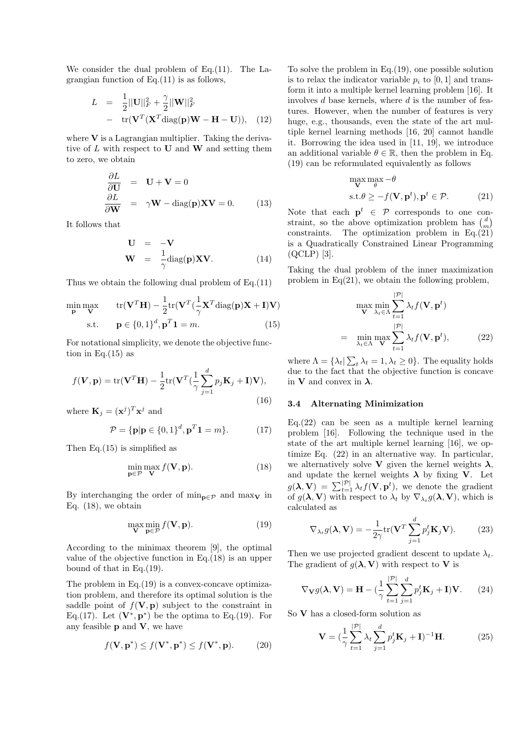We consider the dual problem of Eq. (11). The Lagrangian function of Eq.(11) is as follows,

$$
L = \frac{1}{2} ||\mathbf{U}||_F^2 + \frac{\gamma}{2} ||\mathbf{W}||_F^2
$$
  
- tr( $\mathbf{V}^T (\mathbf{X}^T \text{diag}(\mathbf{p}) \mathbf{W} - \mathbf{H} - \mathbf{U})$ ), (12)

where **V** is a Lagrangian multiplier. Taking the derivative of *L* with respect to **U** and **W** and setting them to zero, we obtain

$$
\frac{\partial L}{\partial \mathbf{U}} = \mathbf{U} + \mathbf{V} = 0
$$
  

$$
\frac{\partial L}{\partial \mathbf{W}} = \gamma \mathbf{W} - \text{diag}(\mathbf{p}) \mathbf{X} \mathbf{V} = 0.
$$
 (13)

It follows that

$$
\mathbf{U} = -\mathbf{V}
$$
  

$$
\mathbf{W} = \frac{1}{\gamma} \text{diag}(\mathbf{p}) \mathbf{X} \mathbf{V}.
$$
 (14)

Thus we obtain the following dual problem of Eq.(11)

$$
\min_{\mathbf{p}} \max_{\mathbf{V}} \qquad \text{tr}(\mathbf{V}^T \mathbf{H}) - \frac{1}{2} \text{tr}(\mathbf{V}^T (\frac{1}{\gamma} \mathbf{X}^T \text{diag}(\mathbf{p}) \mathbf{X} + \mathbf{I}) \mathbf{V})
$$
\n
$$
\text{s.t.} \qquad \mathbf{p} \in \{0, 1\}^d, \mathbf{p}^T \mathbf{1} = m. \tag{15}
$$

For notational simplicity, we denote the objective function in Eq. $(15)$  as

$$
f(\mathbf{V}, \mathbf{p}) = \text{tr}(\mathbf{V}^T \mathbf{H}) - \frac{1}{2} \text{tr}(\mathbf{V}^T (\frac{1}{\gamma} \sum_{j=1}^d p_j \mathbf{K}_j + \mathbf{I}) \mathbf{V}),
$$
\n(16)

where  $\mathbf{K}_j = (\mathbf{x}^j)^T \mathbf{x}^j$  and

$$
\mathcal{P} = \{ \mathbf{p} | \mathbf{p} \in \{0, 1\}^d, \mathbf{p}^T \mathbf{1} = m \}. \tag{17}
$$

Then Eq.(15) is simplified as

$$
\min_{\mathbf{p}\in\mathcal{P}}\max_{\mathbf{V}}f(\mathbf{V},\mathbf{p}).
$$
\n(18)

By interchanging the order of  $\min_{\mathbf{p} \in \mathcal{P}}$  and  $\max_{\mathbf{V}}$  in Eq.  $(18)$ , we obtain

$$
\max_{\mathbf{V}} \min_{\mathbf{p} \in \mathcal{P}} f(\mathbf{V}, \mathbf{p}).
$$
\n(19)

According to the minimax theorem [9], the optimal value of the objective function in Eq.(18) is an upper bound of that in Eq.(19).

The problem in Eq.(19) is a convex-concave optimization problem, and therefore its optimal solution is the saddle point of  $f(\mathbf{V}, \mathbf{p})$  subject to the constraint in Eq.(17). Let  $(\mathbf{V}^*, \mathbf{p}^*)$  be the optima to Eq.(19). For any feasible **p** and **V**, we have

$$
f(\mathbf{V}, \mathbf{p}^*) \le f(\mathbf{V}^*, \mathbf{p}^*) \le f(\mathbf{V}^*, \mathbf{p}).
$$
 (20)

To solve the problem in Eq.(19), one possible solution is to relax the indicator variable  $p_i$  to [0, 1] and transform it into a multiple kernel learning problem [16]. It involves *d* base kernels, where *d* is the number of features. However, when the number of features is very huge, e.g., thousands, even the state of the art multiple kernel learning methods [16, 20] cannot handle it. Borrowing the idea used in [11, 19], we introduce an additional variable  $\theta \in \mathbb{R}$ , then the problem in Eq. (19) can be reformulated equivalently as follows

$$
\max_{\mathbf{V}} \max_{\theta} -\theta
$$
  
s.t.  $\theta \ge -f(\mathbf{V}, \mathbf{p}^t), \mathbf{p}^t \in \mathcal{P}.$  (21)

Note that each  $p^t \in \mathcal{P}$  corresponds to one constraint, so the above optimization problem has  $\binom{d}{m}$ constraints. The optimization problem in Eq.(21) is a Quadratically Constrained Linear Programming (QCLP) [3].

Taking the dual problem of the inner maximization problem in  $Eq(21)$ , we obtain the following problem,

$$
\max_{\mathbf{V}} \min_{\lambda_t \in \Lambda} \sum_{t=1}^{|\mathcal{P}|} \lambda_t f(\mathbf{V}, \mathbf{p}^t)
$$
  
= 
$$
\min_{\lambda_t \in \Lambda} \max_{\mathbf{V}} \sum_{t=1}^{|\mathcal{P}|} \lambda_t f(\mathbf{V}, \mathbf{p}^t),
$$
 (22)

where  $\Lambda = \{\lambda_t | \sum_t \lambda_t = 1, \lambda_t \geq 0\}$ . The equality holds due to the fact that the objective function is concave in **V** and convex in  $\lambda$ .

## **3.4 Alternating Minimization**

 $Eq. (22)$  can be seen as a multiple kernel learning problem [16]. Following the technique used in the state of the art multiple kernel learning [16], we optimize Eq. (22) in an alternative way. In particular, we alternatively solve **V** given the kernel weights  $\lambda$ , and update the kernel weights  $\lambda$  by fixing **V**. Let  $g(\lambda, \mathbf{V}) = \sum_{t=1}^{|\mathcal{P}|} \lambda_t f(\mathbf{V}, \mathbf{p}^t)$ , we denote the gradient of  $g(\lambda, \mathbf{V})$  with respect to  $\lambda_t$  by  $\nabla_{\lambda_t} g(\lambda, \mathbf{V})$ , which is calculated as

$$
\nabla_{\lambda_t} g(\lambda, \mathbf{V}) = -\frac{1}{2\gamma} \text{tr}(\mathbf{V}^T \sum_{j=1}^d p_j^t \mathbf{K}_j \mathbf{V}).
$$
 (23)

Then we use projected gradient descent to update  $\lambda_t$ . The gradient of  $g(\lambda, \mathbf{V})$  with respect to **V** is

$$
\nabla_{\mathbf{V}} g(\lambda, \mathbf{V}) = \mathbf{H} - \left(\frac{1}{\gamma} \sum_{t=1}^{|\mathcal{P}|} \sum_{j=1}^{d} p_j^t \mathbf{K}_j + \mathbf{I} \right) \mathbf{V}.
$$
 (24)

So **V** has a closed-form solution as

$$
\mathbf{V} = \left(\frac{1}{\gamma} \sum_{t=1}^{|\mathcal{P}|} \lambda_t \sum_{j=1}^d p_j^t \mathbf{K}_j + \mathbf{I}\right)^{-1} \mathbf{H}.
$$
 (25)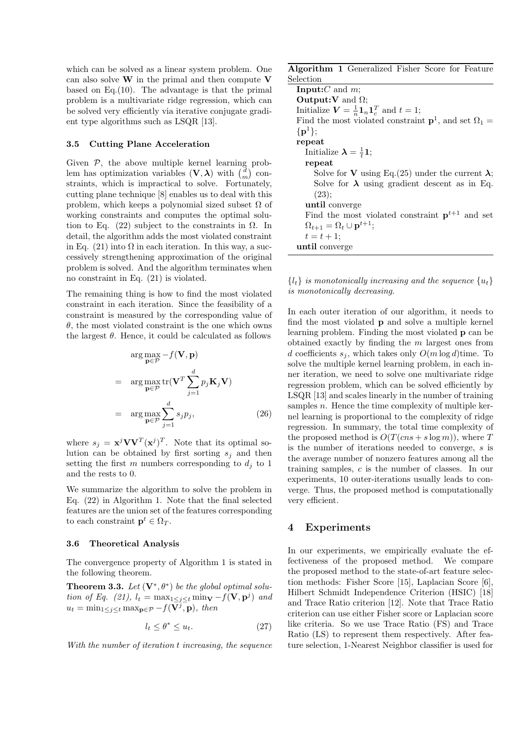which can be solved as a linear system problem. One can also solve **W** in the primal and then compute **V** based on Eq.(10). The advantage is that the primal problem is a multivariate ridge regression, which can be solved very efficiently via iterative conjugate gradient type algorithms such as LSQR [13].

#### **3.5 Cutting Plane Acceleration**

Given  $P$ , the above multiple kernel learning problem has optimization variables  $(V, \lambda)$  with  $\binom{d}{m}$  constraints, which is impractical to solve. Fortunately, cutting plane technique [8] enables us to deal with this problem, which keeps a polynomial sized subset  $\Omega$  of working constraints and computes the optimal solution to Eq. (22) subject to the constraints in  $\Omega$ . In detail, the algorithm adds the most violated constraint in Eq. (21) into  $\Omega$  in each iteration. In this way, a successively strengthening approximation of the original problem is solved. And the algorithm terminates when no constraint in Eq. (21) is violated.

The remaining thing is how to find the most violated constraint in each iteration. Since the feasibility of a constraint is measured by the corresponding value of  $\theta$ , the most violated constraint is the one which owns the largest  $\theta$ . Hence, it could be calculated as follows

$$
\arg \max_{\mathbf{p} \in \mathcal{P}} -f(\mathbf{V}, \mathbf{p})
$$
  
= 
$$
\arg \max_{\mathbf{p} \in \mathcal{P}} \text{tr}(\mathbf{V}^T \sum_{j=1}^d p_j \mathbf{K}_j \mathbf{V})
$$
  
= 
$$
\arg \max_{\mathbf{p} \in \mathcal{P}} \sum_{j=1}^d s_j p_j,
$$
 (26)

where  $s_j = \mathbf{x}^j \mathbf{V} \mathbf{V}^T (\mathbf{x}^j)^T$ . Note that its optimal solution can be obtained by first sorting  $s_j$  and then setting the first *m* numbers corresponding to  $d_j$  to 1 and the rests to 0.

We summarize the algorithm to solve the problem in Eq. (22) in Algorithm 1. Note that the final selected features are the union set of the features corresponding to each constraint  $\mathbf{p}^t \in \Omega_T$ .

#### **3.6 Theoretical Analysis**

The convergence property of Algorithm 1 is stated in the following theorem.

**Theorem 3.3.** Let  $(\mathbf{V}^*, \theta^*)$  be the global optimal solu*tion of Eq.* (21),  $l_t = \max_{1 \leq j \leq t} \min_{\mathbf{V}} -f(\mathbf{V}, \mathbf{p}^j)$  *and*  $u_t = \min_{1 \leq j \leq t} \max_{\mathbf{p} \in \mathcal{P}} -f(\overline{\mathbf{V}^j}, \mathbf{p})$ , then

$$
l_t \le \theta^* \le u_t. \tag{27}
$$

*With the number of iteration t increasing, the sequence*

**Algorithm 1** Generalized Fisher Score for Feature Selection

**Input:***C* and *m*; **Output:V** and Ω; Initialize  $V = \frac{1}{n} \mathbf{1}_n \mathbf{1}_c^T$  and  $t = 1$ ; Find the most violated constraint  $\mathbf{p}^1$ , and set  $\Omega_1 =$ *{***p** <sup>1</sup>*}*; **repeat** Initialize  $\lambda = \frac{1}{t} \mathbf{1}$ ; **repeat** Solve for **V** using Eq.(25) under the current  $\lambda$ ; Solve for  $\lambda$  using gradient descent as in Eq.  $(23);$ **until** converge Find the most violated constraint  $p^{t+1}$  and set  $\Omega_{t+1} = \Omega_t \cup \mathbf{p}^{t+1};$  $t = t + 1$ ; **until** converge

 ${l_t}$  *is monotonically increasing and the sequence*  ${u_t}$ *is monotonically decreasing.*

In each outer iteration of our algorithm, it needs to find the most violated **p** and solve a multiple kernel learning problem. Finding the most violated **p** can be obtained exactly by finding the *m* largest ones from *d* coefficients  $s_j$ , which takes only  $O(m \log d)$ time. To solve the multiple kernel learning problem, in each inner iteration, we need to solve one multivariate ridge regression problem, which can be solved efficiently by LSQR [13] and scales linearly in the number of training samples *n*. Hence the time complexity of multiple kernel learning is proportional to the complexity of ridge regression. In summary, the total time complexity of the proposed method is  $O(T(\text{cns} + s \log m))$ , where *T* is the number of iterations needed to converge, *s* is the average number of nonzero features among all the training samples, *c* is the number of classes. In our experiments, 10 outer-iterations usually leads to converge. Thus, the proposed method is computationally very efficient.

# **4 Experiments**

In our experiments, we empirically evaluate the effectiveness of the proposed method. We compare the proposed method to the state-of-art feature selection methods: Fisher Score [15], Laplacian Score [6], Hilbert Schmidt Independence Criterion (HSIC) [18] and Trace Ratio criterion [12]. Note that Trace Ratio criterion can use either Fisher score or Laplacian score like criteria. So we use Trace Ratio (FS) and Trace Ratio (LS) to represent them respectively. After feature selection, 1-Nearest Neighbor classifier is used for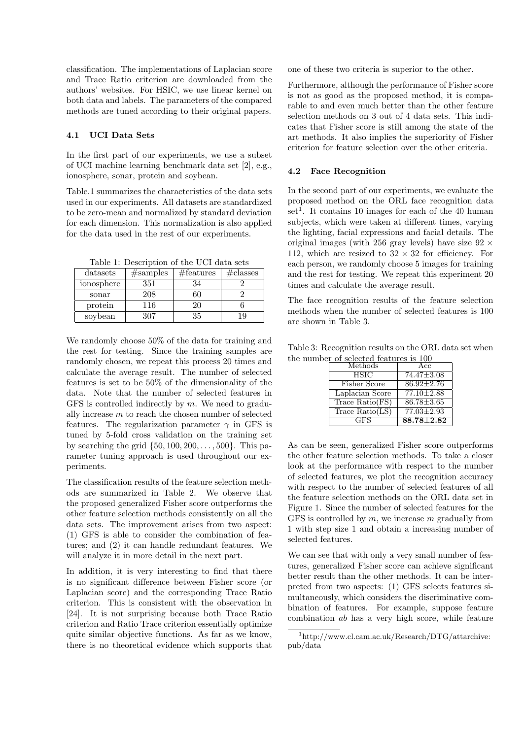classification. The implementations of Laplacian score and Trace Ratio criterion are downloaded from the authors' websites. For HSIC, we use linear kernel on both data and labels. The parameters of the compared methods are tuned according to their original papers.

## **4.1 UCI Data Sets**

In the first part of our experiments, we use a subset of UCI machine learning benchmark data set [2], e.g., ionosphere, sonar, protein and soybean.

Table.1 summarizes the characteristics of the data sets used in our experiments. All datasets are standardized to be zero-mean and normalized by standard deviation for each dimension. This normalization is also applied for the data used in the rest of our experiments.

Table 1: Description of the UCI data sets

| datasets   | #samples | #features | $\#\text{classes}$ |
|------------|----------|-----------|--------------------|
| ionosphere | 351      | 34        |                    |
| sonar      | 208      |           |                    |
| protein    | 116      | 20        |                    |
| soybean    | 307      | 35        |                    |

We randomly choose 50% of the data for training and the rest for testing. Since the training samples are randomly chosen, we repeat this process 20 times and calculate the average result. The number of selected features is set to be 50% of the dimensionality of the data. Note that the number of selected features in GFS is controlled indirectly by *m*. We need to gradually increase *m* to reach the chosen number of selected features. The regularization parameter  $\gamma$  in GFS is tuned by 5-fold cross validation on the training set by searching the grid *{*50*,* 100*,* 200*, . . . ,* 500*}*. This parameter tuning approach is used throughout our experiments.

The classification results of the feature selection methods are summarized in Table 2. We observe that the proposed generalized Fisher score outperforms the other feature selection methods consistently on all the data sets. The improvement arises from two aspect: (1) GFS is able to consider the combination of features; and (2) it can handle redundant features. We will analyze it in more detail in the next part.

In addition, it is very interesting to find that there is no significant difference between Fisher score (or Laplacian score) and the corresponding Trace Ratio criterion. This is consistent with the observation in [24]. It is not surprising because both Trace Ratio criterion and Ratio Trace criterion essentially optimize quite similar objective functions. As far as we know, there is no theoretical evidence which supports that one of these two criteria is superior to the other.

Furthermore, although the performance of Fisher score is not as good as the proposed method, it is comparable to and even much better than the other feature selection methods on 3 out of 4 data sets. This indicates that Fisher score is still among the state of the art methods. It also implies the superiority of Fisher criterion for feature selection over the other criteria.

#### **4.2 Face Recognition**

In the second part of our experiments, we evaluate the proposed method on the ORL face recognition data set<sup>1</sup>. It contains 10 images for each of the 40 human subjects, which were taken at different times, varying the lighting, facial expressions and facial details. The original images (with 256 gray levels) have size 92 *×* 112, which are resized to  $32 \times 32$  for efficiency. For each person, we randomly choose 5 images for training and the rest for testing. We repeat this experiment 20 times and calculate the average result.

The face recognition results of the feature selection methods when the number of selected features is 100 are shown in Table 3.

Table 3: Recognition results on the ORL data set when the number of selected features is 100

| Methods           | Acc              |  |
|-------------------|------------------|--|
| <b>HSIC</b>       | $74.47 \pm 3.08$ |  |
| Fisher Score      | $86.92 \pm 2.76$ |  |
| Laplacian Score   | $77.10 \pm 2.88$ |  |
| Trace Ratio(FS)   | $86.78 \pm 3.65$ |  |
| Trace $Ratio(LS)$ | $77.03 \pm 2.93$ |  |
| GFS               | $88.78 \pm 2.82$ |  |

As can be seen, generalized Fisher score outperforms the other feature selection methods. To take a closer look at the performance with respect to the number of selected features, we plot the recognition accuracy with respect to the number of selected features of all the feature selection methods on the ORL data set in Figure 1. Since the number of selected features for the GFS is controlled by *m*, we increase *m* gradually from 1 with step size 1 and obtain a increasing number of selected features.

We can see that with only a very small number of features, generalized Fisher score can achieve significant better result than the other methods. It can be interpreted from two aspects: (1) GFS selects features simultaneously, which considers the discriminative combination of features. For example, suppose feature combination *ab* has a very high score, while feature

<sup>1</sup>http://www.cl.cam.ac.uk/Research/DTG/attarchive: pub/data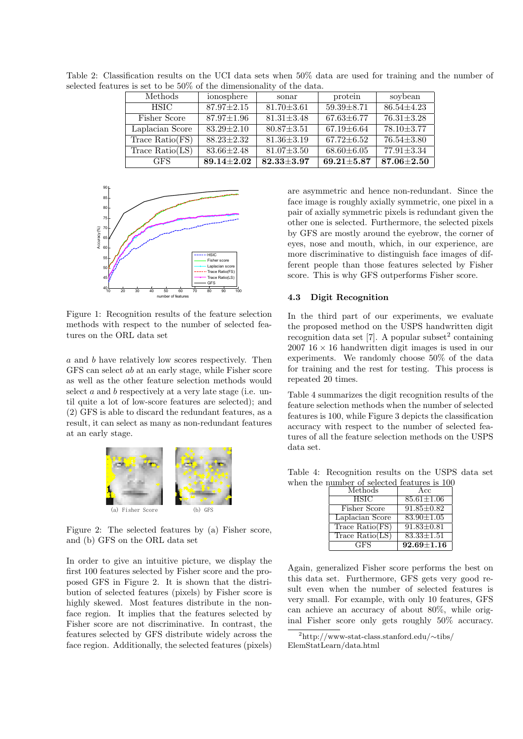| Methods           | ionosphere       | sonar            | protein          | soybean          |  |
|-------------------|------------------|------------------|------------------|------------------|--|
| <b>HSIC</b>       | $87.97 \pm 2.15$ | $81.70 \pm 3.61$ | $59.39 \pm 8.71$ | $86.54 + 4.23$   |  |
| Fisher Score      | $87.97 \pm 1.96$ | $81.31 \pm 3.48$ | $67.63 \pm 6.77$ | $76.31 \pm 3.28$ |  |
| Laplacian Score   | $83.29 \pm 2.10$ | $80.87 \pm 3.51$ | $67.19 \pm 6.64$ | 78.10±3.77       |  |
| Trace $Ratio(FS)$ | $88.23 \pm 2.32$ | $81.36 \pm 3.19$ | $67.72 \pm 6.52$ | $76.54 \pm 3.80$ |  |
| Trace $Ratio(LS)$ | $83.66 \pm 2.48$ | $81.07 \pm 3.50$ | $68.60 \pm 6.05$ | $77.91 \pm 3.34$ |  |
| GFS.              | $89.14 \pm 2.02$ | $82.33 \pm 3.97$ | $69.21 \pm 5.87$ | $87.06 \pm 2.50$ |  |

Table 2: Classification results on the UCI data sets when 50% data are used for training and the number of selected features is set to be 50% of the dimensionality of the data.



Figure 1: Recognition results of the feature selection methods with respect to the number of selected features on the ORL data set

*a* and *b* have relatively low scores respectively. Then GFS can select *ab* at an early stage, while Fisher score as well as the other feature selection methods would select *a* and *b* respectively at a very late stage (i.e. until quite a lot of low-score features are selected); and (2) GFS is able to discard the redundant features, as a result, it can select as many as non-redundant features at an early stage.



Figure 2: The selected features by (a) Fisher score, and (b) GFS on the ORL data set

In order to give an intuitive picture, we display the first 100 features selected by Fisher score and the proposed GFS in Figure 2. It is shown that the distribution of selected features (pixels) by Fisher score is highly skewed. Most features distribute in the nonface region. It implies that the features selected by Fisher score are not discriminative. In contrast, the features selected by GFS distribute widely across the face region. Additionally, the selected features (pixels)

are asymmetric and hence non-redundant. Since the face image is roughly axially symmetric, one pixel in a pair of axially symmetric pixels is redundant given the other one is selected. Furthermore, the selected pixels by GFS are mostly around the eyebrow, the corner of eyes, nose and mouth, which, in our experience, are more discriminative to distinguish face images of different people than those features selected by Fisher score. This is why GFS outperforms Fisher score.

# **4.3 Digit Recognition**

In the third part of our experiments, we evaluate the proposed method on the USPS handwritten digit recognition data set [7]. A popular subset<sup>2</sup> containing  $2007 \text{ 16} \times 16$  handwritten digit images is used in our experiments. We randomly choose 50% of the data for training and the rest for testing. This process is repeated 20 times.

Table 4 summarizes the digit recognition results of the feature selection methods when the number of selected features is 100, while Figure 3 depicts the classification accuracy with respect to the number of selected features of all the feature selection methods on the USPS data set.

Table 4: Recognition results on the USPS data set when the number of selected features is 100

| Methods           | Acc              |  |
|-------------------|------------------|--|
| <b>HSIC</b>       | $85.61 \pm 1.06$ |  |
| Fisher Score      | $91.85 \pm 0.82$ |  |
| Laplacian Score   | $83.90 \pm 1.05$ |  |
| Trace $Ratio(FS)$ | $91.83 \pm 0.81$ |  |
| Trace $Ratio(LS)$ | $83.33 \pm 1.51$ |  |
| GFS               | $92.69 \pm 1.16$ |  |

Again, generalized Fisher score performs the best on this data set. Furthermore, GFS gets very good result even when the number of selected features is very small. For example, with only 10 features, GFS can achieve an accuracy of about 80%, while original Fisher score only gets roughly 50% accuracy.

<sup>2</sup>http://www-stat-class.stanford.edu/*∼*tibs/ ElemStatLearn/data.html